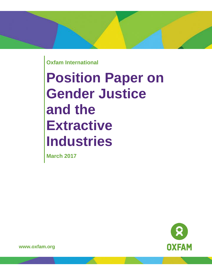**Oxfam International**

# **Position Paper on Gender Justice and the Extractive Industries**

**March 2017**



**www.oxfam.org**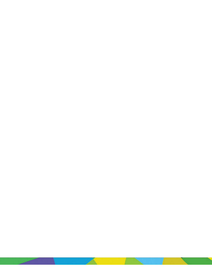$\triangle$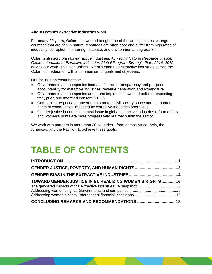#### **About Oxfam's extractive industries work**

For nearly 20 years, Oxfam has worked to right one of the world's biggest wrongs: countries that are rich in natural resources are often poor and suffer from high rates of inequality, corruption, human rights abuse, and environmental degradation.

Oxfam's strategic plan for extractive industries, *Achieving Natural Resource Justice: Oxfam International Extractive Industries Global Program Strategic Plan, 2016–2019,* guides our work. This plan unifies Oxfam's efforts on extractive industries across the Oxfam confederation with a common set of goals and objectives.

Our focus is on ensuring that:

- Governments and companies increase financial transparency and pro-poor accountability for extractive industries' revenue generation and expenditure
- Governments and companies adopt and implement laws and policies respecting free, prior, and informed consent (FPIC)
- Companies respect and governments protect civil society space and the human rights of communities impacted by extractive industries operations
- Gender justice becomes a central issue in global extractive industries reform efforts, and women's rights are more progressively realized within the sector

We work with partners in more than 30 countries—from across Africa, Asia, the Americas, and the Pacific—to achieve these goals.

# **TABLE OF CONTENTS**

| TOWARD GENDER JUSTICE IN EI: REALIZING WOMEN'S RIGHTS  6 |  |
|----------------------------------------------------------|--|
|                                                          |  |
|                                                          |  |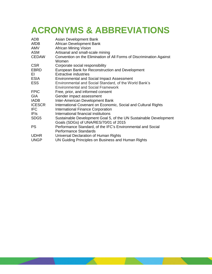# **ACRONYMS & ABBREVIATIONS**

| ADB              | Asian Development Bank                                                                                     |
|------------------|------------------------------------------------------------------------------------------------------------|
| AfDB             | African Development Bank                                                                                   |
| AMV              | African Mining Vision                                                                                      |
| ASM              | Artisanal and small-scale mining                                                                           |
| <b>CEDAW</b>     | Convention on the Elimination of All Forms of Discrimination Against<br>Women                              |
| <b>CSR</b>       | Corporate social responsibility                                                                            |
| <b>EBRD</b>      | European Bank for Reconstruction and Development                                                           |
| ΕI               | <b>Extractive industries</b>                                                                               |
| <b>ESIA</b>      | <b>Environmental and Social Impact Assessment</b>                                                          |
| <b>ESS</b>       | Environmental and Social Standard, of the World Bank's                                                     |
|                  | <b>Environmental and Social Framework</b>                                                                  |
| <b>FPIC</b>      | Free, prior, and informed consent                                                                          |
| <b>GIA</b>       | Gender impact assessment                                                                                   |
| <b>IADB</b>      | Inter-American Development Bank                                                                            |
| <b>ICESCR</b>    | International Covenant on Economic, Social and Cultural Rights                                             |
| <b>IFC</b>       | <b>International Finance Corporation</b>                                                                   |
| <b>IFIS</b>      | International financial institutions                                                                       |
| SDG <sub>5</sub> | Sustainable Development Goal 5, of the UN Sustainable Development<br>Goals (SDGs) of UNA/RES/70/01 of 2015 |
| <b>PS</b>        | Performance Standard, of the IFC's Environmental and Social<br>Performance Standards                       |
| <b>UDHR</b>      | Universal Declaration of Human Rights                                                                      |
| <b>UNGP</b>      | UN Guiding Principles on Business and Human Rights                                                         |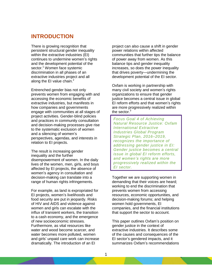# <span id="page-4-0"></span>**INTRODUCTION**

There is growing recognition that persistent structural gender inequality within the extractive industries (EI) continues to undermine women's rights and the development potential of the sector.<sup>1</sup> Women face systemic discrimination in all phases of an extractive industries project and all along the EI value chain. $<sup>2</sup>$ </sup>

Entrenched gender bias not only prevents women from engaging with and accessing the economic benefits of extractive industries, but manifests in how companies and governments engage with communities at all stages of project activities. Gender-blind policies and practices in community consultation and decision-making processes give rise to the systematic exclusion of women and a silencing of women's perspectives, agendas, and interests in relation to EI projects.

The result is increasing gender inequality and the further disempowerment of women. In the daily lives of the women, men, girls, and boys affected by EI projects, the absence of women's agency in consultation and decision-making can translate into a range of human rights infringements.

For example, as land is expropriated for EI projects, women's livelihoods and food security are put in jeopardy. Risks of HIV and AIDS and violence against women and girls can escalate with the influx of transient workers, the transition to a cash economy, and the emergence of new socioeconomic stresses. Furthermore, as vital resources like water and wood become scarcer, and water becomes more polluted, women and girls' unpaid care work can increase dramatically. The introduction of an EI

project can also cause a shift in gender power relations within affected communities that further tips the balance of power away from women. As this balance tips and gender inequality increases, so does the power inequality that drives poverty—undermining the development potential of the EI sector.

Oxfam is working in partnership with many civil society and women's rights organizations to ensure that gender justice becomes a central issue in global EI reform efforts and that women's rights are more progressively realized within the sector.<sup>3</sup>

*Focus Goal 4 of Achieving Natural Resource Justice: Oxfam International Extractive Industries Global Program Strategic Plan, 2016–2019, recognizes the importance of addressing gender justice in EI: Gender justice becomes a central issue in global EI reform efforts, and women's rights are more progressively realized within the EI sector.*

Together we are supporting women in demanding that their voices are heard; working to end the discrimination that prevents women from accessing resources, economic opportunities, and decision-making forums; and helping women hold governments, EI companies, and the financial institutions that support the sector to account.

This paper outlines Oxfam's position on gender justice in the context of extractive industries. It describes some of the causes and consequences of the EI sector's gendered impacts, and it summarizes Oxfam's recommendations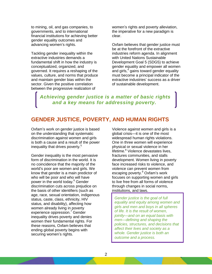to mining, oil, and gas companies, to governments, and to international financial institutions for achieving better gender equality outcomes and advancing women's rights.

Tackling gender inequality within the extractive industries demands a fundamental shift in how the industry is conceptualized, organized, and governed. It requires a reshaping of the values, culture, and norms that produce and maintain gender bias within the sector. Given the positive correlation between the progressive realization of

women's rights and poverty alleviation, the imperative for a new paradigm is clear.

Oxfam believes that gender justice must be at the forefront of the extractive industries reform agenda. In alignment with United Nations Sustainable Development Goal 5 (SDG5) to achieve gender equality and empower all women and girls,<sup>4</sup> gains toward gender equality must become a principal indicator of the extractive industries' success as a driver of sustainable development.

*Achieving gender justice is a matter of basic rights and a key means for addressing poverty.*

### <span id="page-5-0"></span>**GENDER JUSTICE, POVERTY, AND HUMAN RIGHTS**

Oxfam's work on gender justice is based on the understanding that systematic discrimination against women and girls is both a cause and a result of the power inequality that drives poverty.<sup>5</sup>

Gender inequality is the most pervasive form of discrimination in the world. It is no coincidence that the majority of the world's poor are women and girls. We know that gender is a main predictor of who will be poor and who will have power in the world today.<sup>6</sup> Gender discrimination cuts across prejudice on the basis of other identifiers (such as age, race, sexual orientation, indigenous status, caste, class, ethnicity, HIV status, and disability), affecting how women already living in poverty experience oppression.<sup>7</sup> Gender inequality drives poverty and denies women their fundamental rights. For these reasons, Oxfam believes that ending global poverty begins with securing women's rights.

Violence against women and girls is a global crisis—it is one of the most widespread human rights violations. One in three women will experience physical or sexual violence in her lifetime. <sup>8</sup> Violence devastates lives, fractures communities, and stalls development. Women living in poverty face increased risks to violence, and violence can prevent women from escaping poverty. <sup>9</sup> Oxfam's work focuses on supporting women and girls to live free from all forms of violence through changes in social norms, institutions, and laws.

*Gender justice is the goal of full equality and equity among women and girls and men and boys in all spheres of life. It is the result of women, jointly—and on an equal basis with men—defining and shaping the policies, structures, and decisions that affect their lives and society as a whole. Gender justice is both an outcome and a process.*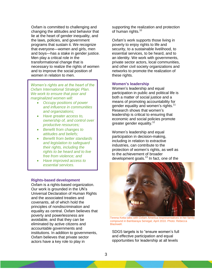Oxfam is committed to challenging and changing the attitudes and behavior that lie at the heart of gender inequality, and the laws, policies, and government programs that sustain it. We recognize that everyone—women and girls, men and boys—has a stake in gender justice. Men play a critical role in the transformational change that is necessary to realize the rights of women and to improve the social position of women in relation to men.

*Women's rights are at the heart of the Oxfam International Strategic Plan. We work to ensure that poor and marginalized women will:* 

- *Occupy positions of power and influence in communities and organizations;*
- *Have greater access to, ownership of, and control over productive resources;*
- *Benefit from changes to attitudes and beliefs;*
- *Benefit from better standards and legislation to safeguard their rights, including the rights to be heard and to live free from violence; and*
- *Have improved access to essential services.*

#### **Rights-based development**

Oxfam is a rights-based organization. Our work is grounded in the UN's Universal Declaration of Human Rights and the associated treaties and covenants, all of which hold the principles of nondiscrimination and equality as central. Oxfam believes that poverty and powerlessness are avoidable, and that they can be eliminated by active citizens and accountable governments and institutions. In addition to governments, Oxfam believes that private sector actors have a key role to play in

supporting the realization and protection of human rights.<sup>10</sup>

Oxfam's work supports those living in poverty to enjoy rights to life and security, to a sustainable livelihood, to essential services, to be heard, and to an identity. We work with governments, private sector actors, local communities, and other civil society organizations and networks to promote the realization of these rights.

#### **Women's leadership**

Women's leadership and equal participation in public and political life is both a matter of social justice and a means of promoting accountability for gender equality and women's rights.<sup>11</sup> Research shows that women's leadership is critical to ensuring that economic and social policies promote greater gender equality.<sup>12</sup>

Women's leadership and equal participation in decision-making, including in relation to extractive industries, can contribute to the protection of women's rights, as well as to the achievement of broader development goals.<sup>13</sup> In fact, one of the



Terena Keita talks with Oxfam America respresentatives in her family compound in Bambaraya Senegal; April 2010. Photo: Rebecca Blackwell.

SDG5 targets is to "ensure women's full and effective participation and equal opportunities for leadership at all levels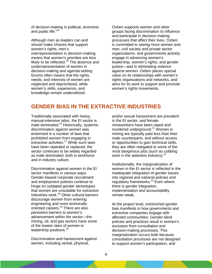of decision-making in political, economic and public life."<sup>14</sup>

Although men as leaders can and should make choices that support women's rights, men's overrepresentation in decision-making means that women's priorities are less likely to be reflected.<sup>15</sup> The absence and underrepresentation of women in decision-making and agenda-setting forums often means that the rights, needs, and interests of women are neglected and deprioritized, while women's skills, experience, and knowledge remain underutilized.

Oxfam supports women and other groups facing discrimination to influence and participate in decision-making processes that affect their lives. Oxfam is committed to seeing more women and men, civil society and private sector organizations, and governments actively engage in advancing women's leadership, women's rights, and gender justice—and in eliminating violence against women. Oxfam places special value on its relationships with women's rights organizations and networks, and aims for its work to support and promote women's rights movements.

### <span id="page-7-0"></span>**GENDER BIAS IN THE EXTRACTIVE INDUSTRIES**

Traditionally associated with heavy, manual-intensive labor, the EI sector is male dominated.<sup>16</sup> Historically, systemic discrimination against women was enshrined in a number of laws that prohibited women from engaging in extractive activities. <sup>17</sup> While such laws have been repealed or replaced, the sector continues to be widely regarded as male dominated, both in workforce and in industry culture.

Discrimination against women in the EI sector manifests in various ways. Gender-biased corporate recruitment and employment policies continue to hinge on outdated gender stereotypes that women are unsuitable for extractive industries work.<sup>18</sup> Other cultural barriers discourage women from entering engineering and more technically oriented careers.<sup>19</sup> There are also persistent barriers to women's advancement within the sector—the mining, oil, and gas sectors have some of the lowest rates of women in leadership positions.<sup>20</sup>

Discrimination and harassment against women, including verbal, physical,

and/or sexual harassment are prevalent in the EI sector, and female mineworkers have been raped and murdered underground.<sup>21</sup> Women in mining are typically paid less than their male counterparts, and without access or opportunities to gain technical skills, they are often relegated to some of the most dangerous jobs (such as cobbing work in the asbestos industry).<sup>22</sup>

Institutionally, the marginalization of women in the EI sector is reflected in the inadequate integration of gender issues into regional and national policies and regulatory frameworks.<sup>23</sup> Even where there is gender integration, implementation and accountability remain weak.

At the project level, entrenched gender bias manifests in how governments and extractive companies engage with affected communities. Gender-blind policies and practices result in women's exclusion from consultation and decision-making processes. This marginalization occurs both because consultation processes are not designed to support women's participation, and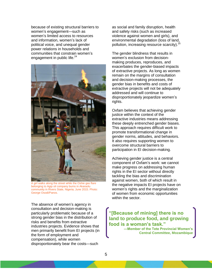because of existing structural barriers to women's engagement—such as women's limited access to resources and information, women's lack of political voice, and unequal gender power relations in households and communities that constrain women's engagement in public life.<sup>24</sup>



A girl walks along the street while the Oshie gas flare belonging to Agip oil company burns in Akaraolu community in Rivers State, Nigeria; June 2015. Photo: George Osodi/Panos.

The absence of women's agency in consultation and decision-making is particularly problematic because of a strong gender bias in the distribution of risks and benefits from extractive industries projects. Evidence shows that men primarily benefit from EI projects (in the form of employment and compensation), while women disproportionately bear the costs—such

as social and family disruption, health and safety risks (such as increased violence against women and girls), and environmental degradation (loss of land, pollution, increasing resource scarcity).<sup>25</sup>

The gender blindness that results in women's exclusion from decisionmaking produces, reproduces, and exacerbates the gender-biased impacts of extractive projects. As long as women remain on the margins of consultation and decision-making processes, the gender bias in benefits and costs of extractive projects will not be adequately addressed and will continue to disproportionately jeopardize women's rights.

Oxfam believes that achieving gender justice within the context of the extractive industries means addressing these deeply entrenched gender biases. This approach requires difficult work to promote transformational change in gender norms, attitudes, and behaviors. It also requires supporting women to overcome structural barriers to participation in EI decision-making.

Achieving gender justice is a central component of Oxfam's work: we cannot make progress on addressing human rights in the EI sector without directly tackling the bias and discrimination against women, both of which result in the negative impacts EI projects have on women's rights and the marginalization of women from economic opportunities within the sector.

**"[Because of mining] there is no land to produce food, and growing food is a woman's task."**

**—Member of the Tete Provincial Women's Central Committee, Mozambique**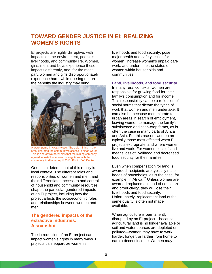# <span id="page-9-0"></span>**TOWARD GENDER JUSTICE IN EI: REALIZING WOMEN'S RIGHTS**

EI projects are highly disruptive, with impacts on the environment, people's livelihoods, and community life. Women, girls, men, and boys experience these impacts differently, and, for the most part, women and girls disproportionately experience harm while missing out on the benefits the industry may bring.



A water pump in Akatakyieso. The gold mining in the area disrupted the community's access to clean water. This is one of two boreholes that the mining company agreed to install as a result of negotions with the community in Ghana; April 2011. Photo: Jeff Deutsch.

One main determinant of this reality is local context. The different roles and responsibilities of women and men, and their differentiated access to and control of household and community resources, shape the particular gendered impacts of an EI project, including how the project affects the socioeconomic roles and relationships between women and men.

#### <span id="page-9-1"></span>**The gendered impacts of the extractive industries: A snapshot**

The introduction of an EI project can impact women's rights in many ways. EI projects can jeopardize women's

livelihoods and food security, pose major health and safety issues for women, increase women's unpaid care work, and undermine the status of women within households and communities.

#### **Land, livelihoods, and food security**

In many rural contexts, women are responsible for growing food for their family's consumption and for income. This responsibility can be a reflection of social norms that dictate the types of work that women and men undertake. It can also be because men migrate to urban areas in search of employment, leaving women to manage the family's subsistence and cash-crop farms, as is often the case in many parts of Africa and Asia. For this reason, women are typically those most affected when EI projects expropriate land where women live and work. For women, loss of land means loss of livelihood and decreased food security for their families.

Even when compensation for land is awarded, recipients are typically male heads of households, as is the case, for example, in Africa.<sup>26</sup> Unless women are awarded replacement land of equal size and productivity, they will lose their livelihoods and food security. Unfortunately, replacement land of the same quality is often not made available.

When agriculture is permanently disrupted by an EI project—because agricultural land is no longer available or soil and water sources are depleted or polluted—women may have to work harder, longer, or farther from home to earn a decent income. Women may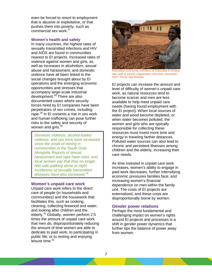even be forced to resort to employment that is abusive or exploitative, or that pushes them into poverty, such as commercial sex work. 27

#### **Women's health and safety**

In many countries, the highest rates of sexually transmitted infections and HIV and AIDS are found in communities nearest to EI projects. Increased rates of violence against women and girls, as well as increases in alcoholism, sexual abuse and harassment, and domestic violence have all been linked to the social changes brought about by EI operations and the emerging economic opportunities and stresses that accompany large-scale industrial development.<sup>28</sup> There are also documented cases where security forces hired by EI companies have been perpetrators of sex crimes, including rape.<sup>29</sup> In EI contexts a rise in sex work and human trafficking can pose further risks to the safety and security of women and girls.<sup>30</sup>

*Domestic violence, alcohol-fueled violence, and sex work have increased since the onset of mining in communities in the South Gobi, Mongolia. Reports of sexual harassment and rape have risen, and local women say that they no longer feel safe walking alone at night. Incidences of sexually transmitted diseases have also increased.<sup>28</sup>*

#### **Women's unpaid care work**

Unpaid care work refers to the direct care of people (in households and communities) and the housework that facilitates this, such as cooking, cleaning, collecting firewood and water, and looking after children and the elderly.<sup>31</sup> Globally, women perform 2.5 times the amount of unpaid care work that men do, disproportionately reducing the amount of time women are able to dedicate to paid work, to participating in public life, or to resting and enjoying leisure time. $32$ 



Relocated community members of Teberebie in Ghana with staff of partner organization WACAM; December 2007. Photo: Neil Brander.

EI projects can increase the amount and level of difficulty of women's unpaid care work, as natural resources tend to become scarcer and men are less available to help meet unpaid care needs (having found employment with the EI project). When local sources of water and wood become depleted, or when water becomes polluted, the women and girls who are typically responsible for collecting these resources must invest more time and energy in traveling farther distances. Polluted water sources can also lead to chronic and persistent illnesses among children and the elderly, increasing their care needs.

As time invested in unpaid care work increases, women's ability to engage in paid work decreases, further intensifying economic pressures families face, and increasing women's financial dependence on men within the family unit. The costs of EI projects are externalized, and these costs are disproportionally borne by women.

#### **Gender power relations**

Perhaps the most fundamental and challenging impact on women's rights around EI projects and processes is a shift in gender power dynamics that further tips the balance of power away from women.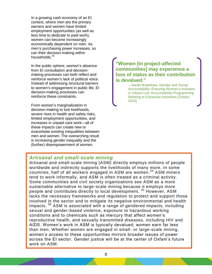In a growing cash economy of an EI context, where men are the primary earners and women have limited employment opportunities (as well as less time to dedicate to paid work), women can become increasingly economically dependent on men. As men's purchasing power increases, so can their decision-making within households. $33$ 

In the public sphere, women's absence from EI consultation and decisionmaking processes can both reflect and reinforce women's lack of political voice. Instead of addressing structural barriers to women's engagement in public life, EI decision-making processes can reinforce these constraints.

From women's marginalization in decision-making to lost livelihoods, severe rises in health and safety risks, limited employment opportunities, and increases in unpaid care work—all of these impacts can create new or exacerbate existing inequalities between men and women. The overarching result is increasing gender inequality and the (further) disempowerment of women.

<span id="page-11-0"></span>**"Women [in project-affected communities] may experience a loss of status as their contribution is devalued."** 

> —Sarah Bradshaw, Gender and Social Accountability: Ensuring Women's Inclusion in Citizen-Led Accountability Programming Relating to Extractive Industries (Oxfam, 2015)

#### *Artisanal and small-scale mining*

Artisanal and small-scale mining (ASM) directly employs millions of people worldwide and indirectly supports the livelihoods of many more. In some countries, half of all workers engaged in ASM are women. <sup>34</sup> ASM miners tend to work informally, and ASM is often treated as a criminal activity. Some communities and civil society organizations see ASM as a more sustainable alternative to large-scale mining because it employs more people and contributes directly to local development. <sup>35</sup> However, ASM lacks the necessary frameworks and regulation to protect and support those involved in the sector and to mitigate its negative environmental and health impacts.<sup>36</sup> ASM is associated with a range of gendered impacts, including sexual and gender-based violence, exposure to hazardous working conditions and to chemicals such as mercury that affect women's reproductive health, and sexually transmitted diseases, including HIV and AIDS. Women's work in ASM is typically devalued; women earn far less than men. Whether women are engaged in small- or large-scale mining, women's access to these opportunities mirrors broader issues of power across the EI sector. Gender justice will be at the center of Oxfam's future work on ASM.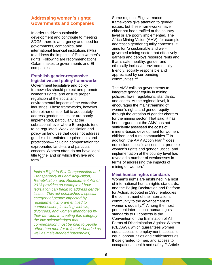#### **Addressing women's rights: Governments and companies**

In order to drive sustainable development and contribute to meeting SDG5, there is an urgency and need for governments, companies, and international financial institutions (IFIs) to address the impacts of EI on women's rights. Following are recommendations Oxfam makes to governments and EI companies.

#### **Establish gender-responsive legislative and policy frameworks**

Government legislative and policy frameworks should protect and promote women's rights, and ensure proper regulation of the social and environmental impacts of the extractive industries. These frameworks, however, often either omit or fail to adequately address gender issues, or are poorly implemented, particularly at the subnational level where EI projects tend to be regulated. Weak legislation and policy on land use that does not address gender-differentiated requirements and protections—including compensation for expropriated land—are of particular concern. Women often do not have legal title to the land on which they live and farm.<sup>37</sup>

*India's Right to Fair Compensation and Transparency in Land Acquisition, Rehabilitation, and Resettlement Act of 2013 provides an example of how legislation can begin to address gender issues. This act establishes a special category of people impacted by resettlement who are entitled to compensation, including widows, divorcees, and women abandoned by their families. In creating this category, the law acknowledges that compensation must be paid to people other than men (or to female-headed as well as male-headed households).*

Some regional EI governance frameworks give attention to gender issues, but these frameworks have either not been ratified at the country level or are poorly implemented. The Africa Mining Vision (AMV), for example, addresses gender equality concerns. It aims for "a sustainable and wellgoverned mining sector that effectively garners and deploys resource rents and that is safe, healthy, gender and ethnically inclusive, environmentally friendly, socially responsible and appreciated by surrounding communities."<sup>38</sup>

The AMV calls on governments to integrate gender equity in mining policies, laws, regulations, standards, and codes. At the regional level, it encourages the mainstreaming of women's rights and gender equity through the creation of gender charters for the mining sector. That said, it has been argued that the AMV has not sufficiently assessed the costs of mineral-based development for women, children, and rural communities.<sup>39</sup> In addition, the AMV Action Plan<sup>40</sup> does not include specific actions that promote women's rights and gender justice, and implementation at the country level has revealed a number of weaknesses in terms of addressing the impacts of mining on women.<sup>41</sup>

#### **Meet human rights standards**

Women's rights are enshrined in a host of international human rights standards, and the Beijing Declaration and Platform for Action, adopted in 1995, embodies the commitment of the international community to the advancement of women's equality.<sup>42</sup> Among the most pertinent international human rights standards to EI contexts is the Convention on the Elimination of All Forms of Discrimination Against Women (CEDAW), which guarantees women equal access to employment, access to equal opportunities and entitlements as those granted to men, and access to occupational health and safety.<sup>43</sup> Article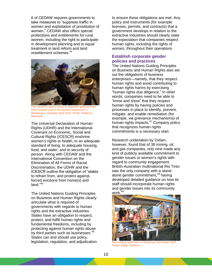6 of CEDAW requires governments to take measures to "suppress traffic in women and exploitation of prostitution of women." CEDAW also offers special protections and entitlements for rural women, including the right to participate in development planning and to equal treatment in land reform and land resettlement schemes. 44



Fily Cissokho uses a sluice to separate gold particle from crushed rock in her family's compound in Bambaraya, Senegal; April 2010. Photo: Rebecca Blackwell.

The Universal Declaration of Human Rights (UDHR) and the International Covenant on Economic, Social and Cultural Rights (ICESCR) enshrine women's rights to health; to an adequate standard of living; to adequate housing, food, and water; and to security of person. Along with CEDAW and the International Convention on the Elimination of All Forms of Racial Discrimination, the UDHR and the ICESCR outline the obligation of "states to refrain from, and protect against, forced evictions from home(s) and land."<sup>45</sup>

The United Nations Guiding Principles on Business and Human Rights clearly articulate what is required of governments with regards to human rights and the extractive industries. States have an obligation to respect, protect, and fulfill human rights and fundamental freedoms, including by protecting against human rights abuse by third parties such as businesses.<sup>46</sup> States can and should use policy, legislation, regulation, and adjudication to ensure these obligations are met. Any policy and instruments (for example licenses, permits, and contracts) that a government develops in relation to the extractive industries should clearly state the expectation that companies respect human rights, including the rights of women, throughout their operations.

#### **Establish corporate gender policies and practices**

The United Nations Guiding Principles on Business and Human Rights also set out the obligations of business enterprises—namely, that they respect human rights and avoid contributing to human rights harms by exercising "human rights due diligence." In other words, companies need to be able to "know and show" that they respect human rights by having policies and processes in place to identify, prevent, mitigate, and enable remediation (for example, via grievance mechanisms) of human rights impacts.<sup>47</sup> Company policy that recognizes human rights commitments is a necessary start.

Research undertaken by Oxfam, however, found that of 38 mining, oil, and gas companies, only nine made any kind of publicly available commitment to gender issues or women's rights with regard to community engagement. British-Australian multinational Rio Tinto was the only company with a standalone gender commitment,<sup>48</sup> having developed detailed guidance on how its staff should incorporate human rights and gender issues into its community work.<sup>49</sup>



San Andres gold mine in Honduras; November 2007. Photo: Edgar Orellana.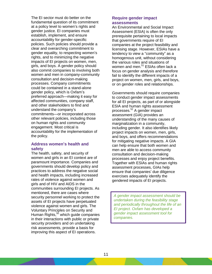The EI sector must do better on the fundamental question of its commitment at a policy level to women's rights and gender justice. EI companies must establish, implement, and ensure accountability for gender-specific policies. Such policies should provide a clear and overarching commitment to gender equality, to respecting women's rights, and to minimizing the negative impacts of EI projects on women, men, girls, and boys. A gender policy should also commit companies to involving both women and men in company-community consultation and decision-making processes. Company commitments could be contained in a stand-alone gender policy, which is Oxfam's preferred approach—making it easy for affected communities, company staff, and other stakeholders to find and understand the company's commitments—or incorporated across other relevant policies, including those on human rights and community engagement. Most critical is accountability for the implementation of the policy.

#### **Address women's health and safety**

The health, safety, and security of women and girls in an EI context are of paramount importance. Companies and governments should develop policy and practices to address the negative social and health impacts, including increased rates of violence against women and girls and of HIV and AIDS in the communities surrounding EI projects. As mentioned, there are cases where security personnel working to protect the assets of EI projects have perpetuated violence against women and girls. The Voluntary Principles on Security and Human Rights,<sup>50</sup> which guide companies in their interactions with public or private security providers and on undertaking risk assessments, provide a basis for improving this aspect of EI operations.

#### **Require gender impact assessments**

An Environmental and Social Impact Assessment (ESIA) is often the only prerequisite pertaining to local impacts that governments require of EI companies at the project feasibility and licensing stage. However, ESIAs have a tendency to view a "community" as a homogenous unit, without considering the various roles and situations of women and men.<sup>51</sup> ESIAs often lack a focus on gender analysis and therefore fail to identify the different impacts of a project on women, men, girls, and boys, or on gender roles and relationships.

Governments should require companies to conduct gender impact assessments for all EI projects, as part of or alongside ESIA and human rights assessment processes.<sup>52</sup> A gender impact assessment (GIA) provides an understanding of the many causes of marginalization in a community, including gender. It also identifies likely project impacts on women, men, girls, and boys, and offers recommendations for mitigating negative impacts. A GIA can help ensure that both women and men are able to access community consultation and decision-making processes and enjoy project benefits. Together with ESIAs and human rights assessment processes, GIAs help ensure that companies' due diligence exercises adequately identify the gendered impacts of EI projects.

*A gender impact assessment should be undertaken during the feasibility stage and periodically throughout the life of an EI project. Oxfam has developed a gender impact assessment tool for companies.*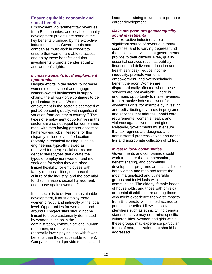#### **Ensure equitable economic and social benefits**

Employment, government tax revenues from EI companies, and local community development projects are some of the key benefits promised by the extractive industries sector. Governments and companies must work in concert to ensure that women are able to access and enjoy these benefits and that investments promote gender equality and women's rights.

#### *Increase women's local employment opportunities*

Despite efforts in the sector to increase women's employment and engage women-owned businesses in supply chains, the EI workforce continues to be predominantly male. Women's employment in the sector is estimated at just 10 percent globally, with significant variation from country to country.<sup>53</sup> The types of employment opportunities in the sector are also not equal for women and men, with men having greater access to higher-paying jobs. Reasons for this disparity include level of education (notably in technical training, such as engineering, typically viewed as reserved for men), social norms and gender stereotypes that dictate the types of employment women and men seek and for which they are hired, limited flexibility for employees with family responsibilities, the masculine culture of the industry, and the potential for discrimination, sexual harassment, and abuse against women. 54

If the sector is to deliver on sustainable development, it must employ more women directly and indirectly at the local level. Opportunities for women in and around EI project sites should not be limited to those customarily dominated by women, such as in the administration, communications, human resources, and services sectors (generally lower-paying jobs with fewer benefits than those accessible to men). Companies should provide technical and

leadership training to women to promote career development.

#### *Make pro-poor, pro-gender equality social investments*

The extractive industries are a significant source of revenue in many countries, and to varying degrees fund the essential services that governments provide to their citizens. Free, quality essential services (such as publiclyfinanced and delivered education and health services), reduce income inequality, promote women's empowerment, and overwhelmingly benefit the poor. Women are disproportionally affected when these services are not available. There is enormous opportunity to make revenues from extractive industries work for women's rights, for example by investing and redistributing revenues in programs and services that address unpaid care requirements, women's health, and violence against women and girls. Relatedly, governments must ensure that tax regimes are designed and administered progressively to ensure the fair and appropriate collection of EI tax.

#### *Invest in local communities*

Governments and companies should work to ensure that compensation, benefit sharing, and community development programs are accessible to both women and men and target the most marginalized and vulnerable groups and individuals within communities. The elderly, female heads of households, and those with physical or mental disabilities are among those who might experience the worst impacts from EI projects, with limited access to potential benefits. Likewise, social identifiers such as ethnicity, indigenous status, or caste may determine specific vulnerabilities. Women and girls within these groups may experience particular forms of marginalization that should be addressed.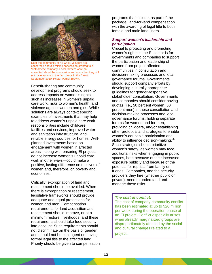

Near the community of Ka Chok, villagers are concerned about a mining concession granted to a Vietnamese company. Local farmers were not consulted about the concession and worry that they will not have access to the farm lands in the forest; September 2010. Photo: Patrick Brown.

Benefit-sharing and community development programs should seek to address impacts on women's rights, such as increases in women's unpaid care work, risks to women's health, and violence against women and girls. While solutions are always context specific, examples of investments that may help to address women's unpaid care work responsibilities include childcare facilities and services, improved water and sanitation infrastructure, and reliable energy sources for homes. Wellplanned investments based on engagement with women in affected areas—along with ensuring EI projects do not increase women's unpaid care work in other ways—could make a positive, lasting difference on the lives of women and, therefore, on poverty and economies.

Critically, expropriation of land and resettlement should be avoided. When there is expropriation or resettlement, legislative frameworks should provide adequate and equal protections for women and men. Compensation requirements for land acquisition and resettlement should improve, or at a minimum restore, livelihoods, and these requirements should take food security into account. Such requirements should not discriminate on the basis of gender, and should not be contingent on having formal legal title to the affected land. Priority should be given to compensation

programs that include, as part of the package, land-for-land compensation with the awarding of legal title to both female and male land users.

#### *Support women's leadership and participation*

Crucial to protecting and promoting women's rights in the EI sector is for governments and companies to support the participation and leadership of women from project-affected communities in consultation and decision-making processes and local governance forums. Governments should support company efforts by developing culturally appropriate guidelines for gender-responsive stakeholder consultation. Governments and companies should consider having quotas (i.e., 50 percent women, 50 percent men) in these consultation and decision-making processes and local governance forums, holding separate forums for women and for men, providing childcare, and/or establishing other protocols and strategies to enable women's equitable participation and ability to influence decision-making.<sup>55</sup> Such strategies should prioritize women's safety, as women may face additional risks when engaging in public spaces, both because of their increased exposure publicly and because of the potential for reprisal from family or friends. Companies, and the security providers they hire (whether public or private), need to understand and manage these risks.

#### *The cost of conflict:*

The cost of company-community conflict has been estimated at up to \$20 million per week during the operation phase of an EI project. Conflict especially arises when already marginalized groups are disproportionately affected by the social and cultural changes related to a project.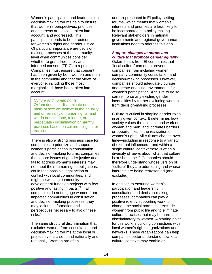Women's participation and leadership in decision-making forums help to ensure that women's perspectives, priorities, and interests are voiced, taken into account, and addressed. This participation lends to better outcomes for women's rights and gender justice. Of particular importance are decisionmaking processes at the community level when communities consider whether to grant free, prior, and informed consent (FPIC) to a project. Companies must ensure that consent has been given by both women and men in the community and that the views of everyone, including those most marginalized, have been taken into account.

*Culture and human rights:* Oxfam does not discriminate on the basis of sex: we believe in the equality and universality of human rights, and we do not condone, tolerate, or perpetuate discrimination or harmful practices based on culture, religion, or tradition.

There is also a strong business case for companies to prioritize and support women's participation in consultation and decision-making forums: companies that ignore issues of gender justice and fail to address women's interests may not meet their human rights obligations; could face possible legal action or conflict with local communities; and might be wasting community development funds on projects with few positive and lasting impacts.<sup>56</sup> If EI companies do not engage women from impacted communities in consultation and decision-making processes, they may lack the information and perspectives necessary to avoid these  $r$ isks. $57$ 

The same structural discrimination that excludes women from consultation and decision-making forums at the local or project level is also found nationally and regionally. Women are often

underrepresented in EI policy-setting forums, which means that women's interests and priorities are less likely to be incorporated into policy making. Relevant stakeholders in national governments and regional governance institutions need to address this gap.

#### *Support changes in norms and culture that promote gender equality*

Oxfam hears from EI companies that "local culture" can often prevent companies from including women in company-community consultation and decision-making processes. However, companies should adequately pursue and create enabling environments for women's participation. A failure to do so can reinforce any existing gender inequalities by further excluding women from decision-making processes.

Culture is critical in shaping gender roles in any given context. It determines how society values the opinions and work of women and men, and it creates barriers or opportunities to the realization of women's rights. All cultures change over time—including in response to a variety of external influences—and within a single cultural context there is often a diversity of views about what that culture is or should be.<sup>58</sup> Companies should therefore understand whose version of "culture" they are addressing and whose interests are being represented (and excluded).

In addition to ensuring women's participation and leadership in consultation and decision-making processes, companies can play a positive role by supporting work to change the social norms that exclude women from public life and to eliminate cultural practices that may be harmful or discriminatory to women. A starting point for this work is building connections with local women's rights organizations and networks. These organizations can help companies better understand how local cultural contexts may enable or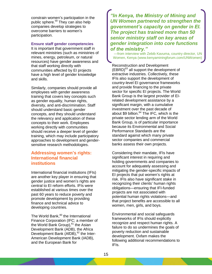constrain women's participation in the public sphere. <sup>59</sup> They can also help companies develop strategies to overcome barriers to women's participation.

#### **Ensure staff gender competencies**

It is important that government staff in relevant ministries (such as ministries of mines, energy, petroleum, or natural resources) have gender awareness and that staff working directly with communities affected by EI projects have a high level of gender knowledge and skills.

Similarly, companies should provide all employees with gender awareness training that covers key concepts such as gender equality, human rights, diversity, and anti-discrimination. Staff should understand basic gender concepts, and they should understand the relevancy and application of these concepts to their work. Employees working directly with communities should receive a deeper level of gender training, which may include participatory approaches to development and gendersensitive research methodologies.

#### <span id="page-18-0"></span>**Addressing women's rights: International financial institutions**

International financial institutions (IFIs) are another key player in ensuring that gender justice and women's rights are central to EI reform efforts. IFIs were established at various times over the past 60 years to reduce poverty and promote development by providing finance and technical advice to developing countries.

The World Bank,<sup>60</sup> the International Finance Corporation (IFC; a member of the World Bank Group), $61$  the Asian Development Bank (ADB), the Africa Development Bank (AfDB),<sup>62</sup> the Inter-American Development Bank (IADB), and the European Bank for

*"In Kenya, the Ministry of Mining and UN Women partnered to strengthen the government's capacity on gender in EI. The project has trained more than 50 senior ministry staff on key areas of gender integration into core functions of the ministry."*

—from interview with Zebib Kavuma, country director, UN Women, Kenya (www.kenyaminingforum.com/UNWomen)

Reconstruction and Development  $(EBRD)^{63}$  all support the development of extractive industries. Collectively, these IFIs also support the development of country-level EI governance frameworks and provide financing to the private sector for specific EI projects. The World Bank Group is the largest provider of EIrelated development assistance by a significant margin, with a cumulative investment over the past decade of about \$9 billion.<sup>64</sup> The IFC, which is the private sector lending arm of the World Bank Group, is of particular importance because its Environmental and Social Performance Standards are the standard against which many private sector companies and commercial banks assess their own projects.

Considering their mandate, IFIs have significant interest in requiring and holding governments and companies to account for adequately assessing and mitigating the gender-specific impacts of EI projects that put women's rights at risk. IFIs also have significant stake in recognizing their clients' human rights obligations—ensuring that IFI-funded projects are not associated with potential human rights violations—and that project benefits are accessible to all women, men, girls, and boys.

Environmental and social safeguards frameworks of IFIs should explicitly recognize and respect human rights. A failure to do so undermines the goals of poverty reduction and sustainable development. Oxfam makes the following additional recommendations to IFIs.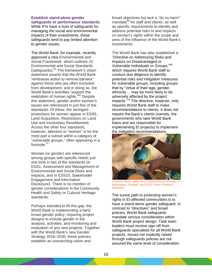### **Establish stand-alone gender safeguards or performance standards**

While IFIs have a host of safeguards for managing the social and environmental impacts of their investments, these safeguards tend to pay limited attention to gender issues.

The World Bank, for example, recently approved a new Environmental and Social Framework, which outlines 10 Environmental and Social Standards (safeguards).<sup>65</sup> The framework's vision statement asserts that the World Bank "embraces action to remove barriers" against those who are often excluded from development, and in doing so, the World Bank's activities "support the realization of human rights."<sup>66</sup> Despite this statement, gender and/or women's issues are referenced in just five of the standards. Of these, the strongest protections for women appear in ESS5, Land Acquisition, Restrictions on Land Use and Involuntary Resettlement. Across the other four standards, however, attention to "women" is for the most part a subset within a category of "vulnerable groups," often appearing in a footnote.<sup>67</sup>

Women (or gender) are referenced among groups with specific needs just one time in two of the standards (in ESS1, Assessment and Management of Environmental and Social Risks and Impacts, and in ESS10, Stakeholder Engagement and Information Disclosure). There is no mention of gender considerations in the Community Health and Safety or Cultural Heritage standards.

Perhaps intended to fill this gap, the World Bank is implementing a fairly broad gender policy, requiring project designs to include gender in the analysis, activities, and monitoring and evaluation of any new projects. Together with the World Bank's new Gender Strategy 2016–2030, these policies establish an overarching vision and

broad objectives but lack a "do no harm" mandate $68$  for staff and clients, as well as specific requirements to identify and address potential risks to and impacts on women's rights within the scope and area of the influence of the World Bank's investments.

The World Bank has also established a "Directive on Addressing Risks and Impacts on Disadvantaged or Vulnerable Individuals or Groups," 69 which requires World Bank staff to conduct due diligence to identify potential risks and mitigation measures for vulnerable groups, including groups that by "virtue of their age, gender, ethnicity ... may be more likely to be adversely affected by the project impacts.<sup>"70</sup> The directive, however, only requires World Bank staff to make recommendations to clients. It does not require the Bank's clients (namely, the governments who take World Bank loans and are responsible for implementing EI projects) to implement the mitigation recommendations.



A woman drains water from a gold-mercury amalgam Bambaraya, Senegal; April 2010. Photo: Rebecca Blackwell.

The surest path to protecting women's rights in EI-affected communities is to have a stand-alone gender safeguard. In contrast to "directives" and broad policies, World Bank safeguards mandate serious consideration within World Bank project design. Task team leaders must receive sign-off from safeguards specialists for all World Bank projects. Issues not explicitly raised through safeguards policies are not assured the same level of consideration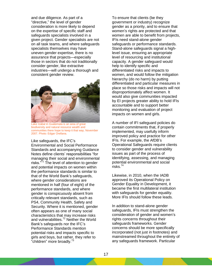and due diligence. As part of a "directive," the level of gender consideration is more likely to depend on the expertise of specific staff and safeguards specialists involved in a given project. Gender specialists are not on all task teams, and where safeguards specialists themselves may have uneven gender expertise, there is no assurance that projects—especially those in sectors that do not traditionally consider gender, like extractive industries—will undergo a thorough and consistent gender review.



Lake Izabal in Guatemala is an area of great biodiversity and natural resource wealth and communities there hope to keep it that way; November 2007. Photo: Edgar Orellana.

#### Like safeguards, the IFC's

Environmental and Social Performance Standards and accompanying Guidance Notes define clients' responsibilities "for managing their social and environmental risks."<sup>71</sup> The level of attention to gender and potential impacts on women within the performance standards is similar to that of the World Bank's safeguards, where gender considerations are mentioned in half (four of eight) of the performance standards, and where gender is conspicuously absent from critically relevant standards, such as PS4, Community Health, Safety and Security. Where it is mentioned, gender often appears as one of many social characteristics that may increase risks and vulnerabilities.<sup>72</sup> Neither the World Bank's safeguards nor the IFC's Performance Standards mention potential risks and impacts specific to girls and boys, but rather, they refer to "children" more broadly.<sup>73</sup>

To ensure that clients (be they government or industry) recognize gender as a priority, and to ensure that women's rights are protected and that women are able to benefit from projects, IFIs need stand-alone gender safeguards or performance standards. Stand-alone safeguards signal a highlevel issue, ensuring an appropriate level of resourcing and institutional capacity. A gender safeguard would help to identify specific and differentiated risks and impacts to women, and would follow the mitigation hierarchy (do no harm) by putting differentiated and particular measures in place so those risks and impacts will not disproportionately affect women. It would also give communities impacted by EI projects greater ability to hold IFIs accountable and to support better monitoring and evaluation of project impacts on women and girls.

A number of IFI safeguard policies do contain commitments that, if properly implemented, may usefully inform improved policy and practice for other IFIs. For example, the AfDB's Operational Safeguards require clients to consider gender and vulnerability issues as part of the process of identifying, assessing, and managing potential environmental and social risks.<sup>74</sup>

Likewise, in 2010, when the IADB approved its Operational Policy on Gender Equality in Development, it became the first multilateral institution with safeguards for gender equality. More IFIs should follow these leads.

In addition to stand-alone gender safeguards, IFIs must strengthen the consideration of gender and women's rights concerns throughout their safeguards frameworks. Gender concerns should be more specifically incorporated (not just in footnotes) and mainstreamed throughout the entirety of any safeguards framework. Particular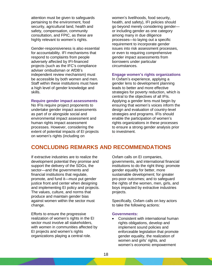attention must be given to safeguards pertaining to the environment, food security, agricultural land, health and safety, compensation, community consultation, and FPIC, as these are highly relevant to women's rights.

Gender-responsiveness is also essential for accountability. IFI mechanisms that respond to complaints from people adversely affected by IFI-financed projects (such as the IFC's compliance adviser ombudsman or AfDB's independent review mechanism) must be accessible by both women and men. Staff within these institutions must have a high level of gender knowledge and skills.

#### **Require gender impact assessments**

No IFIs require project proponents to undertake gender impact assessments as part of or alongside social and environmental impact assessment and human rights impact assessment processes. However, considering the extent of potential impacts of EI projects on women's rights (including on

women's livelihoods, food security, health, and safety), IFI policies should go beyond merely considering gender or including gender as one category among many in due diligence processes—to laying out a specific requirement to incorporate gender issues into risk assessment processes, or even to requiring comprehensive gender impact assessments from borrowers under particular circumstances.

#### **Engage women's rights organizations**

In Oxfam's experience, applying a gender lens to development planning leads to better and more effective strategies for poverty reduction, which is central to the objectives of all IFIs. Applying a gender lens must begin by ensuring that women's voices inform the design and evaluation of country-level strategies and programs. IFIs should enable the participation of women's rights organizations in these processes to ensure a strong gender analysis prior to investment.

# <span id="page-21-0"></span>**CONCLUDING REMARKS AND RECOMMENDATIONS**

.

If extractive industries are to realize the development potential they promise and support the delivery of the SDGs, the sector—and the governments and financial institutions that regulate, promote, and fund it—must put gender justice front and center when designing and implementing EI policy and projects. The values, culture, and norms that produce and maintain gender bias against women within the sector must change.

Efforts to ensure the progressive realization of women's rights in the EI sector must involve all stakeholders, with women in communities affected by EI projects and women's rights organizations playing a central role.

Oxfam calls on EI companies, governments, and international financial institutions to do the right thing: promote gender equality for better, more sustainable development; for greater pro-poor outcomes; and to safeguard the rights of the women, men, girls, and boys impacted by extractive industries projects.

Specifically, Oxfam calls on key actors to take the following actions:

#### **Governments:**

 Consistent with international human rights obligations, develop and implement sound policies and enforceable legislation that promote gender equality, the realization of women and girls' rights, and women's economic empowerment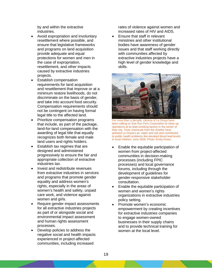by and within the extractive industries.

- Avoid expropriation and involuntary resettlement where possible, and ensure that legislative frameworks and programs on land acquisition provide adequate and equal protections for women and men in the case of expropriation, resettlement, and other impacts caused by extractive industries projects.
- Establish compensation requirements for land acquisition and resettlement that improve or at a minimum restore livelihoods, do not discriminate on the basis of gender, and take into account food security. Compensation requirements should not be contingent on having formal legal title to the affected land.
- Prioritize compensation programs that include, as part of the package, land-for-land compensation with the awarding of legal title that equally recognizes both female and male land users and rights holders.
- Establish tax regimes that are designed and administered progressively to ensure the fair and appropriate collection of extractive industries tax.
- Invest and redistribute revenues from extractive industries in services and programs that promote gender equality and address women's rights, especially in the areas of women's health and safety, unpaid care work, and violence against women and girls.
- Require gender impact assessments for all extractive industries projects as part of or alongside social and environmental impact assessment and human rights assessment processes.
- Develop policies to address the negative social and health impacts experienced in project-affected communities, including increased

rates of violence against women and increased rates of HIV and AIDS.

 Ensure that staff in relevant ministries and other institutional bodies have awareness of gender issues and that staff working directly with communities affected by extractive industries projects have a high level of gender knowledge and skills.



For more than a decade, citizens of La Oroya have been calling on Doe Run Peru Corporation to clean up operations at its lead smelting factory in the center of their city. Toxic chemicals from the smelter have polluted La Oroya's air, water and soil and contributed to public health problems like elevated blood lead levels in local children; June 2006. Photo: Emily Drees.

- Enable the equitable participation of women from project-affected communities in decision-making processes (including FPIC processes) and local governance forums, including through the development of guidelines for gender-responsive stakeholder consultation.
- Enable the equitable participation of women and women's rights organizations in extractive industries policy setting.
- Promote women's economic empowerment by creating incentives for extractive industries companies to engage women-owned businesses in their supply chains and to provide technical training for women at the local level.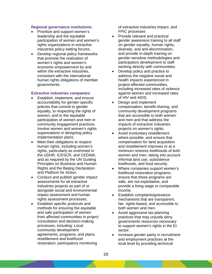#### **Regional governance institutions:**

- Prioritize and support women's leadership and the equitable participation of women and women's rights organizations in extractive industries policy-setting forums.
- Develop regional policy frameworks that promote the realization of women's rights and women's economic empowerment by and within the extractive industries. consistent with the international human rights obligations of member governments.

#### **Extractive industries companies:**

- Establish, implement, and ensure accountability for gender-specific policies that commit to gender equality, to respecting the rights of women, and to the equitable participation of women and men in community engagement practices. Involve women and women's rights organizations in designing policy implementation plans.
- Meet their obligations to respect human rights, including women's rights, particularly as enshrined in the UDHR, ICESCR, and CEDAW, and as required by the UN Guiding Principles on Business and Human Rights and the Beijing Declaration and Platform for Action.
- Conduct and publish gender impact assessments for all extractive industries projects as part of or alongside social and environmental impact assessment and human rights assessment processes.
- Establish specific protocols and methods for ensuring the equitable and safe participation of women from affected communities in project consultation and decision-making processes, including: Local community development agreements, programs, and plans; resettlement and livelihood restoration; participatory monitoring

of extractive industries impact; and FPIC processes

- Provide relevant and practical gender awareness training to all staff on gender equality, human rights, diversity, and anti-discrimination, and provide in-depth training on gender-sensitive methodologies and participatory development to staff working directly with communities.
- Develop policy and practice to address the negative social and health impacts experienced in project-affected communities, including increased rates of violence against women and increased rates of HIV and AIDS.
- Design and implement compensation, benefit-sharing, and community development programs that are accessible to both women and men and that address the impacts of extractive industries projects on women's rights.
- Avoid involuntary resettlement where possible, and ensure that compensation for land acquisition and resettlement improves or at a minimum restores livelihoods of both women and men, taking into account informal land use, subsistence livelihoods, and food security.
- Where companies support women's livelihood restoration programs, ensure that these programs are safe, are not exploitative, and provide a living wage or comparable income.
- Establish complaints/grievance mechanisms that are transparent, fair, rights-based, and accessible to both women and men.
- Avoid aggressive tax-planning practices that may unjustly deny governments resources necessary to support women's rights in the EI sector.
- Increase gender parity in recruitment and employment practices at the local level by providing technical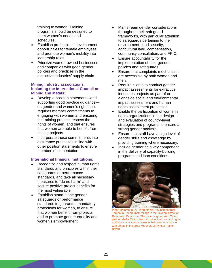training to women. Training programs should be designed to meet women's needs and schedules.

- Establish professional development opportunities for female employees and promote women's mobility into leadership roles.
- Prioritize women-owned businesses and companies with good gender policies and practices in the extractive industries' supply chain.

#### **Mining industry associations, including the International Council on Mining and Metals:**

- Develop a position statement—and supporting good practice guidance on gender and women's rights that requires member commitments to engaging with women and ensuring that mining projects respect the rights of women, and that ensures that women are able to benefit from mining projects.
- Incorporate these commitments into assurance processes in line with other position statements to ensure member implementation.

#### **International financial institutions:**

- Recognize and respect human rights standards and principles within their safeguards or performance standards, and take all necessary measures to "do no harm" and secure positive project benefits for the most vulnerable.
- Establish stand-alone gender safeguards or performance standards to guarantee mandatory protections for women, to ensure that women benefit from projects, and to promote gender equality and women's empowerment.
- Mainstream gender considerations throughout their safeguard frameworks, with particular attention to safeguards pertaining to the environment, food security, agricultural land, compensation, community consultation, and FPIC.
- Ensure accountability for the implementation of their gender policies and safeguards.
- Ensure that complaints mechanisms are accessible by both women and men.
- Require clients to conduct gender impact assessments for extractive industries projects as part of or alongside social and environmental impact assessment and human rights assessment processes.
- Enable the participation of women's rights organizations in the design and evaluation of country-level strategies and programs to ensure a strong gender analysis.
- Ensure that staff have a high level of gender skills and knowledge by providing training where necessary.
- Include gender as a key component in the delivery of capacity-building programs and loan conditions.



ing Chamroeun, 26, is an ethnic Prov person from Tampoun Roung Thom village in the Taveng district of Ratanakiri, Cambodia. She joined a group with Oxfam partner Media One to learn about indigenous land rights and how social media networks help to communicate with others in the area; March 2016. Photo: Patrick Brown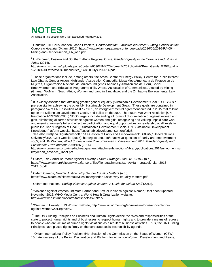# **NOTES**

All URLs in this section were last accessed February 2017.

<sup>1</sup> Christina Hill, Chris Madden, Maria Ezpeleta, *Gender and the Extractive Industries: Putting Gender on the Corporate Agenda* (Oxfam, 2016), https://www.oxfam.org.au/wp-content/uploads/2016/05/2016-PA-004- Mining-and-Gender-report\_FA\_web.pdf.

<sup>2</sup> UN Women, Eastern and Southern Africa Regional Office, *Gender Equality in the Extractive Industries in Africa* (2014),

http://www.hsrc.ac.za/uploads/pageContent/6090/UN%20Women%20Policy%20Brief\_Gender%20Equality %20in%20Extractive%20Industries\_14%20July%202014.pdf.

 $3$  These organizations include, among others, the Africa Centre for Energy Policy, Centre for Public Interest Law Ghana, Gender Action, Highlander Association Cambodia, Mesa MesoAmericana de Proteccion de Mujeres, Organización Nacional de Mujeres Indigenas Andinas y Amazónicas del Perú, Social Empowerment and Education Programme (Fiji), Wassa Association of Communities Affected by Mining (Ghana), WoMin in South Africa, Women and Land in Zimbabwe, and the Zimbabwe Environmental Law Association.

 $<sup>4</sup>$  It is widely asserted that attaining greater gender equality (Sustainable Development Goal 5, SDG5) is a</sup> prerequisite for achieving the other UN Sustainable Development Goals. (These goals are contained in paragraph 54 of UN Resolution A/RES/70/01, an intergovernmental agreement created in 2015 that follows up on the Millennium Development Goals, and builds on the 2009 The Future We Want resolution [UN Resolution A/RES/66/288].) SDG5 targets include ending all forms of discrimination of against women and girls, eliminating all forms of violence against women and girls, recognizing and valuing unpaid care work, and ensuring women's full and effective participation and equal opportunities for leadership at all levels in public life. See "Progress of Goal 5," Sustainable Development Goals, UN Sustainable Development Knowledge Platform website, https://sustainabledevelopment.un.org/sdg5.

 See also Kristjana Sigurbjörnsdóttir, "A Question of Parity and Empowerment: SDG#5," United Nations University/UNU-Gest website (2015), http://gest.unu.edu/en/news/a-question-of-parity-and-empowermentsdg5; and UN Women, *World Survey on the Role of Women in Development 2014: Gender Equality and Sustainable Development,* A/69/156 (2014),

http://www.unwomen.org/~/media/headquarters/attachments/sections/library/publications/2014/unwomen\_su rveyreport\_advance\_16oct.pdf.

<sup>5</sup> Oxfam*, The Power of People against Poverty: Oxfam Strategic Plan 2013–2019* (n.d.), https://www.oxfam.org/sites/www.oxfam.org/files/file\_attachments/story/oxfam-strategic-plan-2013-2019\_0.pdf.

<sup>6</sup> Oxfam Canada, *Gender Justice: Why Gender Equality Matters* (n.d.), https://www.oxfam.ca/sites/default/files/imce/gender-justice-why-equality-matters.pdf.

<sup>7</sup> Oxfam International, *Ending Violence Against Women: A Guide for Oxfam Staff* (2012).

<sup>8</sup> "Violence against Women: Intimate Partner and Sexual Violence against Women," fact sheet updated November 2016, WHO Media Centre, World Health Organization website, http://www.who.int/mediacentre/factsheets/fs239/en/.

<sup>9</sup> "Women in Poverty," UN Women website, http://www.unwomen.org/en/news/in-focus/end-violenceagainst-women/2014/poverty.

<sup>10</sup> The UN Guiding Principles on Business and Human Rights define the roles and responsibilities of the state to protect human rights and of businesses to respect human rights and to provide a means of redress to people who are victims of human rights violations as a result of business activities. Thus, the UN Guiding Principles have placed rights firmly on the corporate social responsibility agenda.

<sup>11</sup> Oxfam International Policy Position, 54th Session of the Commission on the Status of Women (CSW), 15th Anniversary of the Beijing Declaration and Platform for Action on Women, Development and Peace,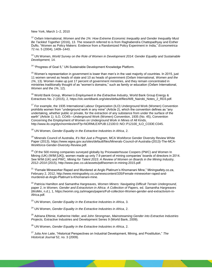New York, March 1–2, 2010

<sup>12</sup> Oxfam International, *Women and the 1%: How Extreme Economic Inequality and Gender Inequality Must Be Tackled Together* (2016), 13. The research referred to is from Raghabendra Chattopadhyay and Esther Duflo, "Women as Policy Makers: Evidence from a Randomized Policy Experiment in India," *Econometrica*  72 no. 5 (2004), 1409–1443.

<sup>13</sup> UN Women, *World Survey on the Role of Women in Development 2014: Gender Equality and Sustainable Development,* 14.

<sup>14</sup> "Progress of Goal 5," UN Sustainable Development Knowledge Platform.

 $15$  Women's representation in government is lower than men's in the vast majority of countries. In 2015, just 11 women served as heads of state and 10 as heads of government (Oxfam International, *Women and the 1%*, 13). Women make up just 17 percent of government ministries, and they remain concentrated in ministries traditionally thought of as "women's domains," such as family or education (Oxfam International, *Women and the 1%*, 12).

<sup>16</sup> World Bank Group, *Women's Employment in the Extractive Industry*, World Bank Group Energy & Extractives No. 2 (2015), 2, https://olc.worldbank.org/sites/default/files/WB\_Nairobi\_Notes\_2\_RD3.pdf.

<sup>17</sup> For example, the 1935 International Labour Organization (ILO) Underground Work (Women) Convention prohibits women from "underground work in any mine" (Article 2), which the convention defines as "any undertaking, whether public or private, for the extraction of any substance from under the surface of the earth" (Article 1). ILO, CO45—Underground Work (Women) Convention, 1935 (No. 45), Convention Concerning the Employment of Women on Underground Work in Mines of All Kinds, http://www.ilo.org/dyn/normlex/en/f?p=NORMLEXPUB:12100:0::NO::P12100\_ILO\_CODE:C045.

<sup>18</sup> UN Women, *Gender Equality in the Extractive Industries in Africa*, 2.

<sup>19</sup> Minerals Council of Australia, *It's Not Just a Program*, MCA Workforce Gender Diversity Review White Paper (2013), https://www.wgea.gov.au/sites/default/files/Minerals-Council-of-Australia-(2013)-The-MCA-Workforce-Gender-Diversity-Review.pdf.

 $20$  Of the 500 mining companies surveyed globally by Pricewaterhouse Coopers (PWC) and Women In Mining (UK) (WIM [UK]), women made up only 7.9 percent of mining companies' boards of directors in 2014. See WIM (UK) and PWC, *Mining for Talent 2015: A Review of Women on Boards in the Mining Industry, 2012–2014* (2015), http://www.pwc.co.uk/assets/pdf/women-in-mining-2015.pdf.

<sup>21</sup> "Female Mineworker Raped and Murdered at Anglo Platinum's Khomanani Mine," Miningsafety.co.za, February 2, 2012, http://www.miningsafety.co.za/newscontent/335/Female-mineworker-raped-andmurdered-at-Anglo-Platinum's-Khomanani-mine.

<sup>22</sup> Patricia Hamilton and Samantha Hargreaves, *Women Miners: Navigating Difficult Terrain Underground,*  paper 2, in *Women, Gender and Extractivism in Africa: A Collection of Papers,* ed. *Samantha Hargreaves* (WoMin, n.d.), 1, https://womin.org.za/images/papers/Full-collection-Women-gender-and-extractivism-in-Africa.pdf.

<sup>23</sup> UN Women, *Gender Equality in the Extractive Industries in Africa*, 3.

<sup>24</sup> UN Women, *Gender Equality in the Extractive Industries in Africa*, 2.

<sup>25</sup> Adriana Eftimie, Katherine Heller, and John Strongman, *Mainstreaming Gender into Extractive Industries Projects,* Extractive Industries and Development Series 9 (World Bank, 2009).

<sup>26</sup> UN Women, *Gender Equality in the Extractive Industries in Africa*, 2.

<sup>27</sup> Julia Ann Laite, "Historical Perspectives on Industrial Development, Mining, and Prostitution," *The Historical Journal* 52, no. 3 (2009).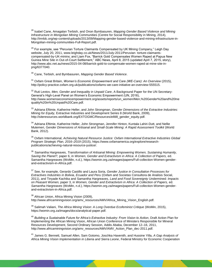<sup>28</sup> Isabel Cane, Amagalan Terbish, and Onon Bymbasuren, *Mapping Gender Based Violence and Mining Infrastructure in Mongolian Mining* Communities (Centre for Social Responsibility in Mining, 2014)*,* http://im4dc.org/wp-content/uploads/2013/09/Mapping-gender-based-violence-and-mining-infrastructure-in-Mongolian-mining-communities-Full-Report.pdf.

<sup>29</sup> For example, see "Peruvian Torture Claimants Compensated by UK Mining Company," Leigh Day website, July 20, 2011, www.leighday.co.uk/News/2011/July-2011/Peruvian- torture-claimantscompensated-by-UK-mininx; and Liam Fox, "Barrick Gold Compensates Women Raped at Papua New Guinea Mine Site in Out-of-Court Settlement," ABC News, April 8, 2015 (updated April 7, 2015, story), http://www.abc.net.au/news/2015-04-08/barrick-gold-to-compensate-women-raped-at-mine-site-inpng/6377040.

<sup>30</sup> Cane, Terbish, and Bymbasuren, *Mapping Gender Based Violence*.

<sup>31</sup> Oxfam Great Britain, *Women's Economic Empowerment and Care (WE-Care): An Overview* (2015), http://policy-practice.oxfam.org.uk/publications/oxfams-we-care-initiative-an-overview-555515.

<sup>32</sup> Ruti Levtov, *Men, Gender and Inequality in Unpaid Care*, A Background Paper for the UN Secretary-General's High-Level Panel on Women's Economic Empowerment (UN, 2016), http://www.womenseconomicempowerment.org/assets/reports/un\_women/Men,%20Gender%20and%20Ine quality%20in%20Unpaid%20Care.pdf.

<sup>33</sup> Adriana Eftimie, Katherine Heller, and John Strongman, *Gender Dimensions of the Extractive Industries: Mining for Equity,* Extractive Industries and Development Series 8 (World Bank, 2009), http://siteresources.worldbank.org/EXTOGMC/Resources/eifd8\_gender\_equity.pdf.

<sup>34</sup> Adriana Eftimie, Katherine Heller, John Strongman, Jennifer Hinton, Kuntala Lahiri-Dutt, and Nellie Mutemeri, G*ender Dimensions of Artisanal and Small-Scale Mining: A Rapid Assessment Toolkit* (World Bank, 2012).

<sup>35</sup> Oxfam International, *Achieving Natural Resource Justice: Oxfam International Extractive Industries Global Program Strategic Plan, 2016–2019* (2015), https://www.oxfamamerica.org/explore/researchpublications/achieving-natural-resource-justice/.

<sup>36</sup> Samantha Hargreaves, *Transformation of Artisanal Mining: Empowering Women, Sustaining Humanity, Saving the Planet?,* paper 6, in *Women, Gender and Extractivism in Africa: A Collection of Papers,* ed. Samantha Hargreaves (WoMin, n.d.), https://womin.org.za/images/papers/Full-collection-Women-genderand-extractivism-in-Africa.pdf.

<sup>37</sup> See, for example, Gerardo Castillo and Laura Soria, *Gender Justice in Consultation Processes for Extractives Industries in Bolivia, Ecuador and Peru* (Oxfam and Societas Consultora de Analisis Social, 2011), and Tinyade Kachika and Samantha Hargreaves, *Land and Food Sovereignty* Undermined*: Impacts on Peasant Women,* paper 3, in *Women, Gender and Extractivism in Africa: A Collection of Papers,* ed. *Samantha Hargreaves* (WoMin, n.d.), https://womin.org.za/images/papers/Full-collection-Women-genderand-extractivism-in-Africa.pdf.

<sup>38</sup> African Union, Africa Mining Vision (2009), http://www.africaminingvision.org/amv\_resources/AMV/Africa\_Mining\_Vision\_English.pdf.

<sup>39</sup> Salimah Valiani, *The Africa Mining Vision: A Long Overdue Ecofeminist Critique* (WoMin, 2015), https://womin.org.za/images/docs/analytical-paper.pdf.

<sup>40</sup> *Building a Sustainable Future for Africa's Extractive Industry: From Vision to Action*, Draft Action Plan for Implementing the African Mining Vision, African Union Conference of Ministers Responsible for Mineral Resources Development, Second Ordinary Session, Addis Ababa, December 12–16, 2011, http://www.africaminingvision.org/amv\_resources/AMV/AMV\_Action\_Plan\_dec-2011.pdf.

<sup>41</sup> James G. Bennett, Samuel Allen, Sam Gotomo, Joschka Havenith, and Hussine Yilla, *A Gap Analysis of Africa Mining Vision Implementation in Liberia and Sierra Leone*, Federal Ministry for Economic Cooperation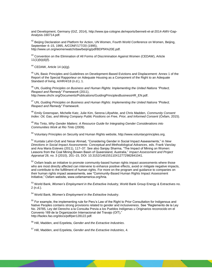and Development, Germany (GIZ, 2014), http://www.ipa-cologne.de/reports/bennett-et-al-2014-AMV-Gap-Analysis-160714.pdf.

 $42$  Beijing Declaration and Platform for Action, UN Women, Fourth World Conference on Women, Beijing, September 4–15, 1995, A/CONF/177/20 (1995), http://www.un.org/womenwatch/daw/beijing/pdf/BDPfA%20E.pdf.

<sup>43</sup> Convention on the Elimination of All Forms of Discrimination Against Women (CEDAW), Article  $11(1)(b)(d)(f)$ .

 $44$  CEDAW, Article 14 (a)(q).

<sup>45</sup> UN, Basic Principles and Guidelines on Development-Based Evictions and Displacement: Annex 1 of the Report of the Special Rapporteur on Adequate Housing as a Component of the Right to an Adequate Standard of living, A/HR/4/18 (n.d.), 1.

<sup>46</sup> UN, *Guiding Principles on Business and Human Rights: Implementing the United Nations "Protect, Respect and Remedy" Framework* (2011), [http://www.ohchr.org/Documents/Publications/GuidingPrinciplesBusinessHR\\_EN.pdf.](http://www.ohchr.org/Documents/Publications/GuidingPrinciplesBusinessHR_EN.pdf)

<sup>47</sup> UN, *Guiding Principles on Business and Human Rights: Implementing the United Nations "Protect, Respect and Remedy" Framework*.

<sup>48</sup> Emily Greenspan, Michelle Katz, Julie Kim, Serena Lillywhite, and Chris Madden, *Community Consent Index: Oil, Gas, and Mining Company Public Positions on Free, Prior, and Informed Consent* (Oxfam, 2015).

<sup>49</sup> Rio Tinto, *Why Gender Matters: A Resource Guide for Integrating Gender Considerations into Communities Work at Rio Tinto* (2009).

 $50$  Voluntary Principles on Security and Human Rights website, http://www.voluntaryprinciples.org.

<sup>51</sup> Kuntala Lahiri-Dutt and Nesar Ahmad, "Considering Gender in Social Impact Assessments," in *New Directions in Social Impact Assessments: Conceptual and Methodological Advances*, eds. Frank Vanclay and Ana Maria Esteves (2011), 117–37. See also Sanjay Sharma, "The Impact of Mining on Women: Lessons from the Coal Mining Bowen Basin of Queensland, Australia," *Impact Assessment and Project Appraisal* 28, no. 3 (2010), 201–15, DOI: 10.3152/146155110X12772982841041.

 $52$  Oxfam leads an initiative to promote community-based human rights impact assessments where those who are most directly affected can intervene to enhance positive effects, avoid or mitigate negative impacts, and contribute to the fulfillment of human rights. For more on the program and guidance to companies on their human rights impact assessments, see "Community-Based Human Rights Impact Assessment Initiative," Oxfam website, www.oxfamamerica.org/hria.

<sup>53</sup> World Bank, *Women's Employment in the Extractive Industry*, World Bank Group Energy & Extractives no. 2 (n.d.).

<sup>54</sup> World Bank, *Women's Employment in the Extractive Industry*.

<sup>55</sup> For example, the implementing rule for Peru's Law of the Right to Prior Consultation for Indigenous and Native Peoples contains strong provisions related to gender and inclusiveness. See "Reglemento de la Ley No. 29785, Ley del Derecho a la Consulta Previa a los Pueblos Indígenas u Originarios reconocido en el Convenio 169 de la Organización Internacional del Travajo (OIT)," http://faolex.fao.org/docs/pdf/per128122.pdf.

<sup>56</sup> Hill, Madden, and Ezpeleta, *Gender and the Extractive Industries*.

<sup>57</sup> Hill, Madden, and Ezpeleta, *Gender and the Extractive Industries*, 4.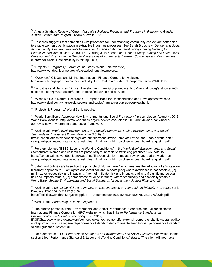<sup>58</sup> Angela Smith, *A Review of Oxfam Australia's Policies, Practices and Programs in Relation to Gender Justice, Culture and Religion,* Oxfam Australia (2011).

59 Research suggests that companies with processes for understanding community context are better able to enable women's participation in extractive industries processes. See Sarah Bradshaw, *Gender and Social Accountability: Ensuring Women's Inclusion in Citizen-Led Accountability Programming Relating to Extractive Industries* (Oxfam, 2015), 16–17, citing Julia Keenan and Deanna Kemp, *Mining and Local-Level Development: Examining the Gender Dimensions of Agreements Between Companies and Communities* (Centre for Social Responsibility in Mining, 2014).

<sup>60</sup> "Projects & Programs," Extractive Industries, World Bank website, http://www.worldbank.org/en/topic/extractiveindustries/projects.

<sup>61</sup> "Overview," Oil, Gas and Mining, International Finance Corporation website, http://www.ifc.org/wps/wcm/connect/Industry\_Ext\_Content/ifc\_external\_corporate\_site/OGM+Home.

 $62$  "Industries and Services," African Development Bank Group website, http://www.afdb.org/en/topics-andsectors/sectors/private-sector/areas-of-focus/industries-and-services/.

<sup>63</sup> "What We Do in Natural Resources," European Bank for Reconstruction and Development website, http://www.ebrd.com/what-we-do/sectors-and-topics/natural-resources-overview.html.

<sup>64</sup> "Projects & Programs," World Bank website.

<sup>65</sup> "World Bank Board Approves New Environmental and Social Framework," press release, August 4, 2016, World Bank website, http://www.worldbank.org/en/news/press-release/2016/08/04/world-bank-boardapproves-new-environmental-and-social-framework.

<sup>66</sup> World Bank, *World Bank Environmental and Social Framework: Setting Environmental and Social Standards for Investment Project Financing* (2016), 5,

https://consultations.worldbank.org/Data/hub/files/consultation-template/review-and-update-world-banksafeguard-policies/es/materials/the\_esf\_clean\_final\_for\_public\_disclosure\_post\_board\_august\_4.pdf.

<sup>67</sup> For example, see "ESS2. Labor and Working Conditions," in the *World Bank Environmental and Social Framework:* "Women and children are particularly vulnerable to trafficking practices," 56, note 15, https://consultations.worldbank.org/Data/hub/files/consultation-template/review-and-update-world-banksafeguard-policies/es/materials/the\_esf\_clean\_final\_for\_public\_disclosure\_post\_board\_august\_4.pdf.

<sup>68</sup> Safeguard policies are based on the principle of "do no harm," which ensures the adoption of a "mitigation hierarchy approach to ... anticipate and avoid risk and impacts [and] where avoidance is not possible, [to] minimize or reduce risk and impacts … [then to] mitigate [risk and impacts, and when] significant residual risk and impacts remain, [to] compensate for or offset them, where technically and financially feasible." World Bank, *Setting Environmental and Social Standards for Investment Project Financing*, 25.

<sup>69</sup> World Bank, *Addressing Risks and Impacts on Disadvantaged or Vulnerable Individuals or Groups*, Bank Directive, EXC5.07-DIR.117 (2016),

https://policies.worldbank.org/sites/ppf3/PPFDocuments/e5562765a5534ea0b7877e1e775f29d5.pdf.

<sup>70</sup> World Bank, *Addressing Risks and Impacts*, 1.

 $71$  The quoted phrase is from "Environmental and Social Performance Standards and Guidance Notes," International Finance Corporation (IFC) website, which has links to *Performance Standards on Environmental and Social Sustainability* (IFC, 2012),

IFCIFChttp://www.ifc.org/wps/wcm/connect/topics\_ext\_content/ifc\_external\_corporate\_site/ifc+sustainability/ our+approach/risk+management/performance+standards/environmental+and+social+performance+standard s+and+guidance+notes#2012.

<sup>72</sup> For example, see IFC, *Performance Standards on Environmental and Social Sustainability*, which, in the section titled "Performance Standard 2, Labor and Working Conditions," states: "The client will not make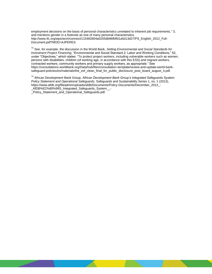employment decisions on the basis of personal characteristics unrelated to inherent job requirements," 3, and mentions gender in a footnote as one of many personal characteristics. http://www.ifc.org/wps/wcm/connect/115482804a0255db96fbffd1a5d13d27/PS\_English\_2012\_Full-Document.pdf?MOD=AJPERES.

<sup>73</sup> See, for example, the discussion in the World Bank, *Setting Environmental and Social Standards for Investment Project Financing*, "Environmental and Social Standard 2: Labor and Working Conditions," 52, under "Objectives," which states: "To protect project workers, including vulnerable workers such as women, persons with disabilities, children (of working age, in accordance with this ESS) and migrant workers, contracted workers, community workers and primary supply workers, as appropriate." See https://consultations.worldbank.org/Data/hub/files/consultation-template/review-and-update-world-banksafeguard-policies/es/materials/the\_esf\_clean\_final\_for\_public\_disclosure\_post\_board\_august\_4.pdf.

<sup>74</sup> African Development Bank Group, *African Development Bank Group's Integrated Safeguards System: Policy Statement and Operational Safeguards*, Safeguards and Sustainability Series 1, no. 1 (2013), https://www.afdb.org/fileadmin/uploads/afdb/Documents/Policy-Documents/December\_2013\_- \_AfDB%E2%80%99S\_Integrated\_Safeguards\_System\_\_-

Policy Statement and Operational Safeguards.pdf.